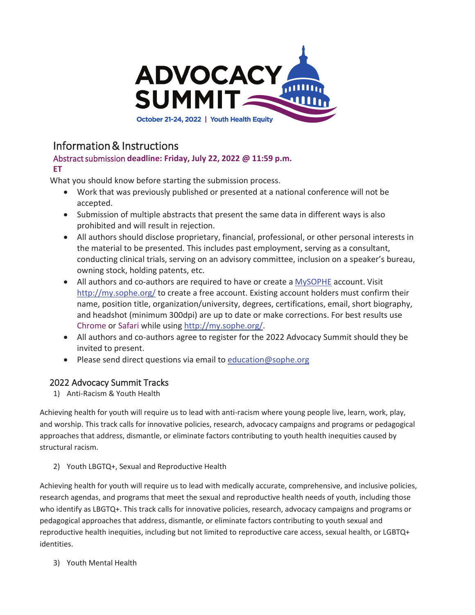

# Information & Instructions

#### Abstract submission **deadline: Friday, July 22, 2022 @ 11:59 p.m. ET**

What you should know before starting the submission process.

- Work that was previously published or presented at a national conference will not be accepted.
- Submission of multiple abstracts that present the same data in different ways is also prohibited and will result in rejection.
- All authors should disclose proprietary, financial, professional, or other personal interests in the material to be presented. This includes past employment, serving as a consultant, conducting clinical trials, serving on an advisory committee, inclusion on a speaker's bureau, owning stock, holding patents, etc.
- All authors and co-authors are required to have or create a MySOPHE account. Visit http://my.sophe.org/ to create a free account. Existing account holders must confirm their name, position title, organization/university, degrees, certifications, email, short biography, and headshot (minimum 300dpi) are up to date or make corrections. For best results use Chrome or Safari while using http://my.sophe.org/.
- All authors and co-authors agree to register for the 2022 Advocacy Summit should they be invited to present.
- Please send direct questions via email to education@sophe.org

# 2022 Advocacy Summit Tracks

1) Anti-Racism & Youth Health

Achieving health for youth will require us to lead with anti-racism where young people live, learn, work, play, and worship. This track calls for innovative policies, research, advocacy campaigns and programs or pedagogical approaches that address, dismantle, or eliminate factors contributing to youth health inequities caused by structural racism.

2) Youth LBGTQ+, Sexual and Reproductive Health

Achieving health for youth will require us to lead with medically accurate, comprehensive, and inclusive policies, research agendas, and programs that meet the sexual and reproductive health needs of youth, including those who identify as LBGTQ+. This track calls for innovative policies, research, advocacy campaigns and programs or pedagogical approaches that address, dismantle, or eliminate factors contributing to youth sexual and reproductive health inequities, including but not limited to reproductive care access, sexual health, or LGBTQ+ identities.

3) Youth Mental Health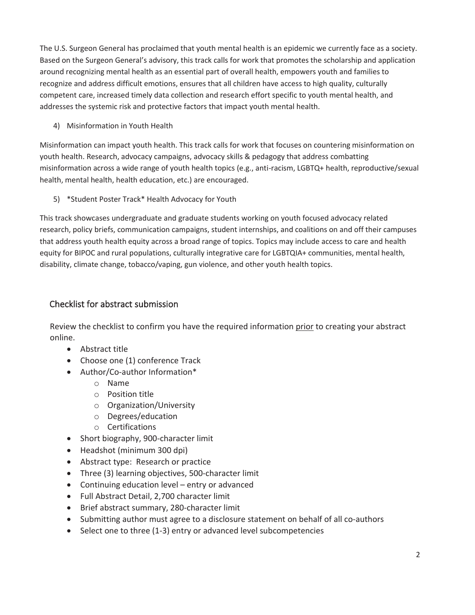The U.S. Surgeon General has proclaimed that youth mental health is an epidemic we currently face as a society. Based on the Surgeon General's advisory, this track calls for work that promotes the scholarship and application around recognizing mental health as an essential part of overall health, empowers youth and families to recognize and address difficult emotions, ensures that all children have access to high quality, culturally competent care, increased timely data collection and research effort specific to youth mental health, and addresses the systemic risk and protective factors that impact youth mental health.

4) Misinformation in Youth Health

Misinformation can impact youth health. This track calls for work that focuses on countering misinformation on youth health. Research, advocacy campaigns, advocacy skills & pedagogy that address combatting misinformation across a wide range of youth health topics (e.g., anti-racism, LGBTQ+ health, reproductive/sexual health, mental health, health education, etc.) are encouraged.

5) \*Student Poster Track\* Health Advocacy for Youth

This track showcases undergraduate and graduate students working on youth focused advocacy related research, policy briefs, communication campaigns, student internships, and coalitions on and off their campuses that address youth health equity across a broad range of topics. Topics may include access to care and health equity for BIPOC and rural populations, culturally integrative care for LGBTQIA+ communities, mental health, disability, climate change, tobacco/vaping, gun violence, and other youth health topics.

# Checklist for abstract submission

Review the checklist to confirm you have the required information prior to creating your abstract online.

- $\bullet$  Abstract title
- $\bullet$  Choose one (1) conference Track
- Author/Co-author Information\*
	- o Name
	- o Position title
	- o Organization/University
	- o Degrees/education
	- o Certifications
- Short biography, 900-character limit
- Headshot (minimum 300 dpi)
- Abstract type: Research or practice
- Three (3) learning objectives, 500-character limit
- Continuing education level entry or advanced
- Full Abstract Detail, 2,700 character limit
- Brief abstract summary, 280-character limit
- Submitting author must agree to a disclosure statement on behalf of all co-authors
- Select one to three (1-3) entry or advanced level subcompetencies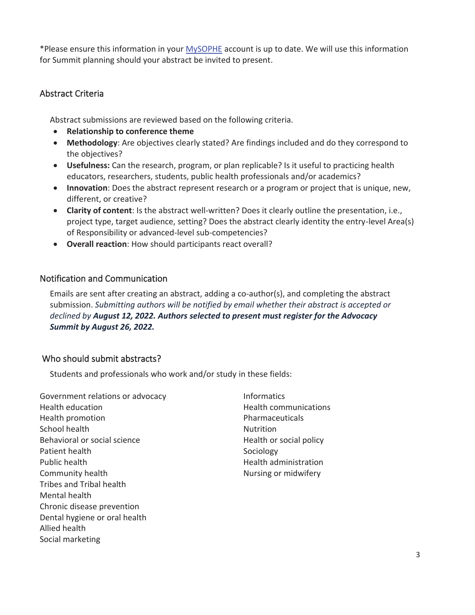\*Please ensure this information in your MySOPHE account is up to date. We will use this information for Summit planning should your abstract be invited to present.

# Abstract Criteria

Abstract submissions are reviewed based on the following criteria.

- **•** Relationship to conference theme
- x **Methodology**: Are objectives clearly stated? Are findings included and do they correspond to the objectives?
- x **Usefulness:** Can the research, program, or plan replicable? Is it useful to practicing health educators, researchers, students, public health professionals and/or academics?
- **Innovation**: Does the abstract represent research or a program or project that is unique, new, different, or creative?
- x **Clarity of content**: Is the abstract well-written? Does it clearly outline the presentation, i.e., project type, target audience, setting? Does the abstract clearly identity the entry-level Area(s) of Responsibility or advanced-level sub-competencies?
- **Overall reaction:** How should participants react overall?

## Notification and Communication

Emails are sent after creating an abstract, adding a co-author(s), and completing the abstract submission. *Submitting authors will be notified by email whether their abstract is accepted or declined by August 12, 2022. Authors selected to present must register for the Advocacy Summit by August 26, 2022.*

## Who should submit abstracts?

Students and professionals who work and/or study in these fields:

Government relations or advocacy Health education Health promotion School health Behavioral or social science Patient health Public health Community health Tribes and Tribal health Mental health Chronic disease prevention Dental hygiene or oral health Allied health Social marketing

Informatics Health communications Pharmaceuticals **Nutrition** Health or social policy Sociology Health administration Nursing or midwifery